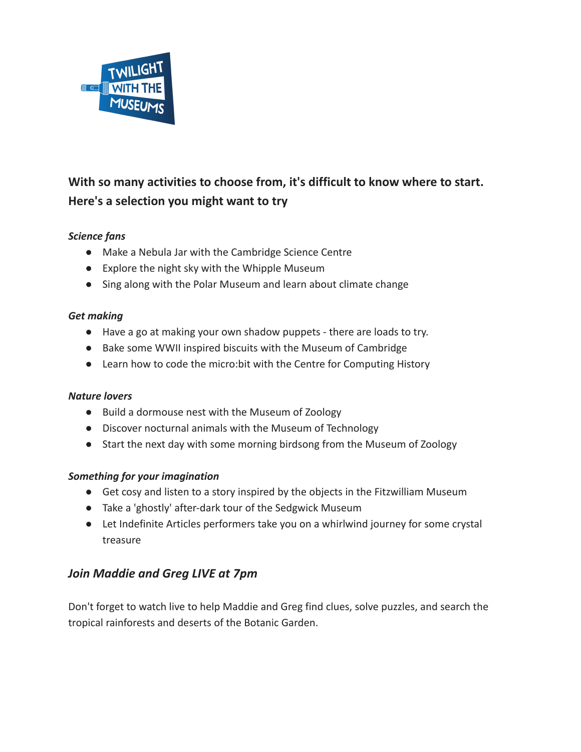

# **With so many activities to choose from, it's difficult to know where to start. Here's a selection you might want to try**

### *Science fans*

- Make a Nebula Jar with the Cambridge Science Centre
- Explore the night sky with the Whipple Museum
- Sing along with the Polar Museum and learn about climate change

#### *Get making*

- Have a go at making your own shadow puppets there are loads to try.
- Bake some WWII inspired biscuits with the Museum of Cambridge
- Learn how to code the micro:bit with the Centre for Computing History

#### *Nature lovers*

- Build a dormouse nest with the Museum of Zoology
- Discover nocturnal animals with the Museum of Technology
- Start the next day with some morning birdsong from the Museum of Zoology

#### *Something for your imagination*

- Get cosy and listen to a story inspired by the objects in the Fitzwilliam Museum
- Take a 'ghostly' after-dark tour of the Sedgwick Museum
- Let Indefinite Articles performers take you on a whirlwind journey for some crystal treasure

## *Join Maddie and Greg LIVE at 7pm*

Don't forget to watch live to help Maddie and Greg find clues, solve puzzles, and search the tropical rainforests and deserts of the Botanic Garden.